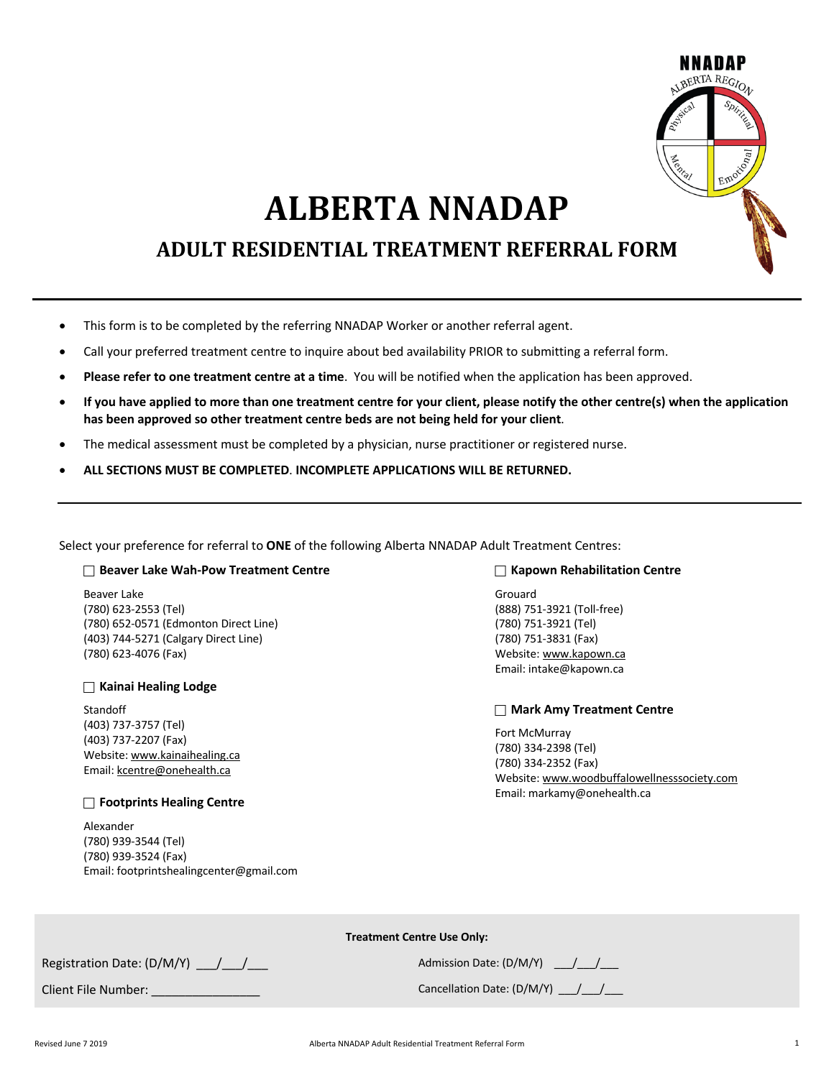

# **ALBERTA NNADAP**

# **ADULT RESIDENTIAL TREATMENT REFERRAL FORM**

- This form is to be completed by the referring NNADAP Worker or another referral agent.
- Call your preferred treatment centre to inquire about bed availability PRIOR to submitting a referral form.
- **Please refer to one treatment centre at a time**. You will be notified when the application has been approved.
- **If you have applied to more than one treatment centre for your client, please notify the other centre(s) when the application has been approved so other treatment centre beds are not being held for your client**.
- The medical assessment must be completed by a physician, nurse practitioner or registered nurse.
- **ALL SECTIONS MUST BE COMPLETED**. **INCOMPLETE APPLICATIONS WILL BE RETURNED.**

Select your preference for referral to **ONE** of the following Alberta NNADAP Adult Treatment Centres:

#### **□ Beaver Lake Wah-Pow Treatment Centre**

Beaver Lake (780) 623-2553 (Tel) (780) 652-0571 (Edmonton Direct Line) (403) 744-5271 (Calgary Direct Line) (780) 623-4076 (Fax)

#### **C** Kainai Healing Lodge

Standoff (403) 737-3757 (Tel) (403) 737-2207 (Fax) Website: www.kainaihealing.ca Email: kcentre@onehealth.ca

**Footprints Healing Centre** 

Alexander (780) 939-3544 (Tel) (780) 939-3524 (Fax) Email: footprintshealingcenter@gmail.com

#### **□ Kapown Rehabilitation Centre**

Grouard (888) 751-3921 (Toll-free) (780) 751-3921 (Tel) (780) 751-3831 (Fax) Website: www.kapown.ca Email: intake@kapown.ca

#### **C** Mark Amy Treatment Centre

Fort McMurray (780) 334-2398 (Tel) (780) 334-2352 (Fax) Website: www.woodbuffalowellnesssociety.com Email: markamy@onehealth.ca

**Treatment Centre Use Only:**

Registration Date:  $(D/M/Y)$   $/$   $/$ 

Client File Number:  $\blacksquare$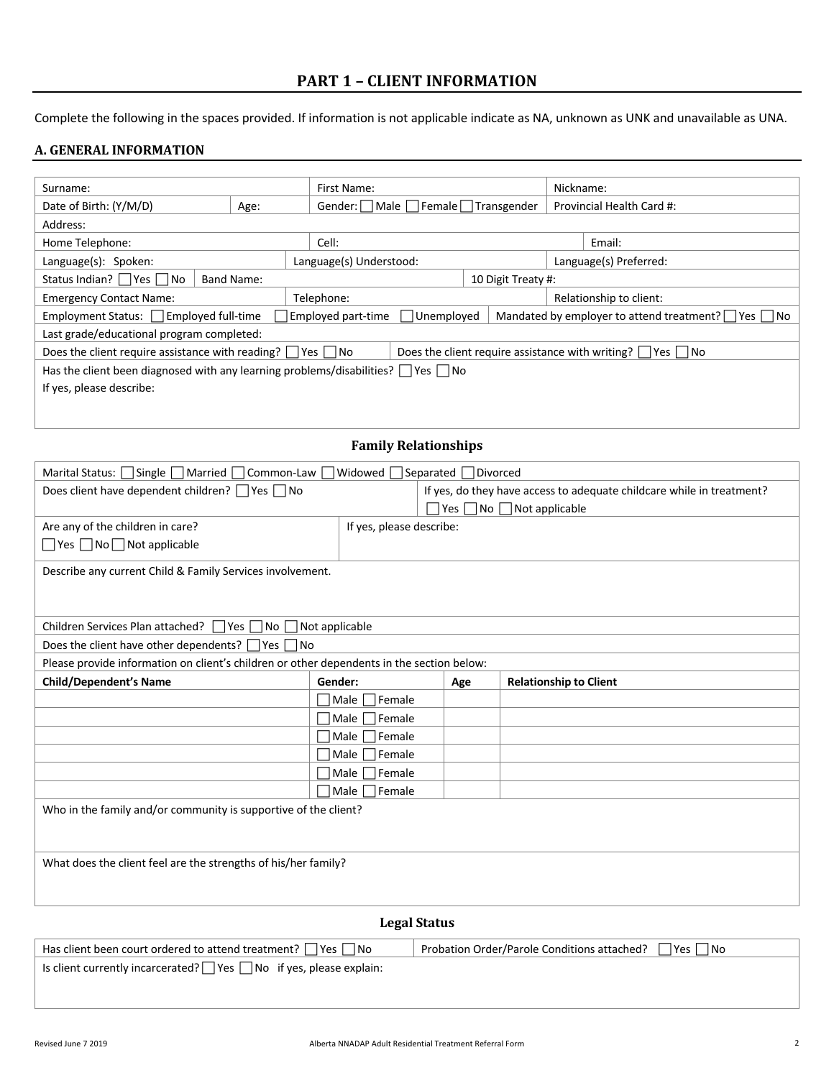# **PART 1 - CLIENT INFORMATION**

Complete the following in the spaces provided. If information is not applicable indicate as NA, unknown as UNK and unavailable as UNA.

### **A. GENERAL INFORMATION**

| Surname:                                                                                    |                   |  | First Name:                     |                    |                         |                           | Nickname: |                                                                       |
|---------------------------------------------------------------------------------------------|-------------------|--|---------------------------------|--------------------|-------------------------|---------------------------|-----------|-----------------------------------------------------------------------|
| Date of Birth: (Y/M/D)                                                                      | Age:              |  | Gender: Male Female Transgender |                    |                         | Provincial Health Card #: |           |                                                                       |
| Address:                                                                                    |                   |  |                                 |                    |                         |                           |           |                                                                       |
| Home Telephone:                                                                             |                   |  | Cell:                           |                    |                         |                           |           | Email:                                                                |
| Language(s): Spoken:                                                                        |                   |  | Language(s) Understood:         |                    |                         |                           |           | Language(s) Preferred:                                                |
| Status Indian? $\Box$ Yes $\Box$ No                                                         | <b>Band Name:</b> |  |                                 | 10 Digit Treaty #: |                         |                           |           |                                                                       |
| <b>Emergency Contact Name:</b>                                                              |                   |  | Telephone:                      |                    | Relationship to client: |                           |           |                                                                       |
| Employment Status: Employed full-time                                                       |                   |  | Employed part-time              | Unemployed         |                         |                           |           | Mandated by employer to attend treatment? $\Box$ Yes $\Box$ No        |
| Last grade/educational program completed:                                                   |                   |  |                                 |                    |                         |                           |           |                                                                       |
| Does the client require assistance with reading? $\Box$ Yes $\Box$ No                       |                   |  |                                 |                    |                         |                           |           | Does the client require assistance with writing? $\Box$ Yes $\Box$ No |
| Has the client been diagnosed with any learning problems/disabilities? $\Box$ Yes $\Box$ No |                   |  |                                 |                    |                         |                           |           |                                                                       |
| If yes, please describe:                                                                    |                   |  |                                 |                    |                         |                           |           |                                                                       |
|                                                                                             |                   |  |                                 |                    |                         |                           |           |                                                                       |
|                                                                                             |                   |  |                                 |                    |                         |                           |           |                                                                       |

# **Family Relationships**

| Marital Status: Single Married Common-Law<br> Widowed Separated Divorced                  |                          |                                            |                                                                       |  |  |  |
|-------------------------------------------------------------------------------------------|--------------------------|--------------------------------------------|-----------------------------------------------------------------------|--|--|--|
| Does client have dependent children? Ves no                                               |                          |                                            | If yes, do they have access to adequate childcare while in treatment? |  |  |  |
|                                                                                           |                          | $\Box$ Yes $\Box$ No $\Box$ Not applicable |                                                                       |  |  |  |
| Are any of the children in care?                                                          | If yes, please describe: |                                            |                                                                       |  |  |  |
| $\Box$ Yes $\Box$ No $\Box$ Not applicable                                                |                          |                                            |                                                                       |  |  |  |
| Describe any current Child & Family Services involvement.                                 |                          |                                            |                                                                       |  |  |  |
|                                                                                           |                          |                                            |                                                                       |  |  |  |
|                                                                                           |                          |                                            |                                                                       |  |  |  |
| Children Services Plan attached?   Yes   No   Not applicable                              |                          |                                            |                                                                       |  |  |  |
| Does the client have other dependents? $\Box$ Yes $\Box$ No                               |                          |                                            |                                                                       |  |  |  |
| Please provide information on client's children or other dependents in the section below: |                          |                                            |                                                                       |  |  |  |
| <b>Child/Dependent's Name</b>                                                             | Gender:                  | Age                                        | <b>Relationship to Client</b>                                         |  |  |  |
|                                                                                           | Male<br>Female           |                                            |                                                                       |  |  |  |
|                                                                                           | Male<br>Female           |                                            |                                                                       |  |  |  |
|                                                                                           | Male<br>Female           |                                            |                                                                       |  |  |  |
|                                                                                           | Female<br>Male           |                                            |                                                                       |  |  |  |
|                                                                                           | Female<br>Male           |                                            |                                                                       |  |  |  |
|                                                                                           | Female<br>Male           |                                            |                                                                       |  |  |  |
| Who in the family and/or community is supportive of the client?                           |                          |                                            |                                                                       |  |  |  |
|                                                                                           |                          |                                            |                                                                       |  |  |  |
|                                                                                           |                          |                                            |                                                                       |  |  |  |
| What does the client feel are the strengths of his/her family?                            |                          |                                            |                                                                       |  |  |  |
|                                                                                           |                          |                                            |                                                                       |  |  |  |
|                                                                                           |                          |                                            |                                                                       |  |  |  |
| <b>Legal Status</b>                                                                       |                          |                                            |                                                                       |  |  |  |

Has client been court ordered to attend treatment?  $\Box$  Yes  $\Box$  No Probation Order/Parole Conditions attached?  $\Box$  Yes  $\Box$  No Is client currently incarcerated?  $\Box$  Yes  $\Box$  No if yes, please explain: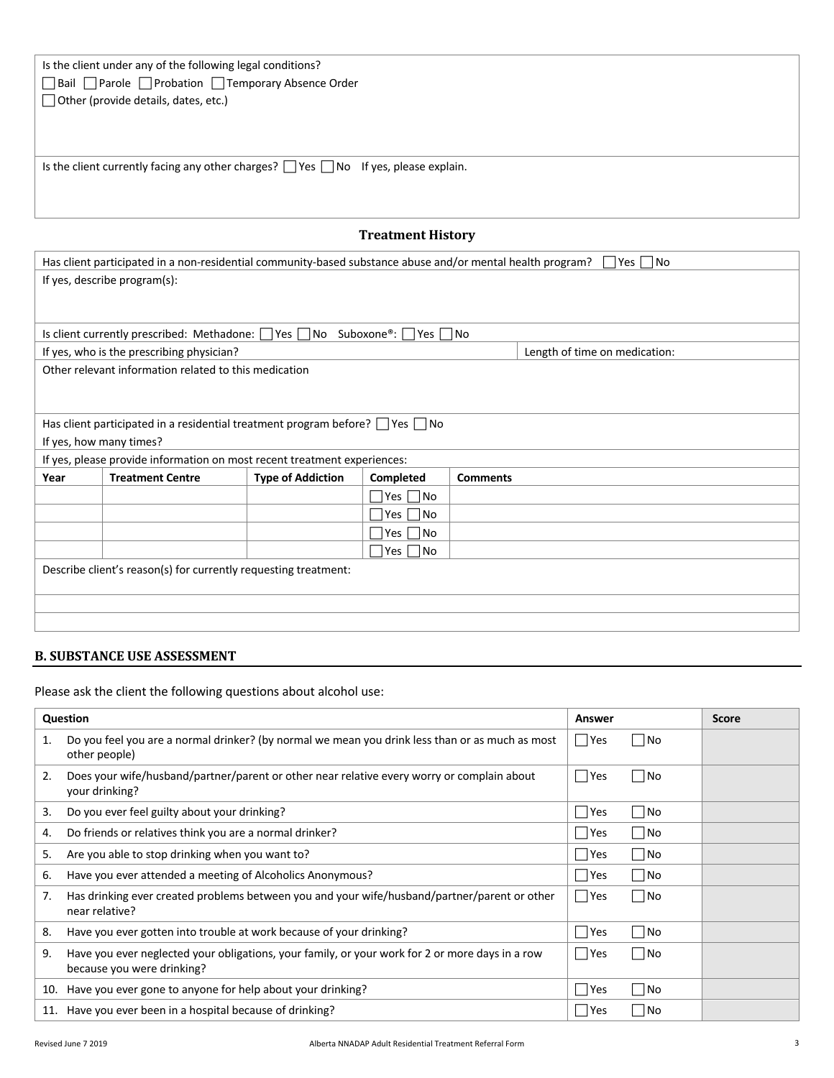| Is the client under any of the following legal conditions?                                     |
|------------------------------------------------------------------------------------------------|
| □ Bail □ Parole □ Probation □ Temporary Absence Order                                          |
| $\Box$ Other (provide details, dates, etc.)                                                    |
|                                                                                                |
|                                                                                                |
|                                                                                                |
| Is the client currently facing any other charges? $\Box$ Yes $\Box$ No If yes, please explain. |
|                                                                                                |
|                                                                                                |

# **Treatment History**

|                                                                 | Has client participated in a non-residential community-based substance abuse and/or mental health program?<br> Yes   No |                          |                      |                 |                               |  |
|-----------------------------------------------------------------|-------------------------------------------------------------------------------------------------------------------------|--------------------------|----------------------|-----------------|-------------------------------|--|
|                                                                 | If yes, describe program(s):                                                                                            |                          |                      |                 |                               |  |
|                                                                 |                                                                                                                         |                          |                      |                 |                               |  |
|                                                                 |                                                                                                                         |                          |                      |                 |                               |  |
|                                                                 | Is client currently prescribed: Methadone: $\vert \vert$ Yes $\vert \vert$ No Suboxone®: Yes $\vert \vert$ No           |                          |                      |                 |                               |  |
|                                                                 | If yes, who is the prescribing physician?                                                                               |                          |                      |                 | Length of time on medication: |  |
|                                                                 | Other relevant information related to this medication                                                                   |                          |                      |                 |                               |  |
|                                                                 |                                                                                                                         |                          |                      |                 |                               |  |
|                                                                 |                                                                                                                         |                          |                      |                 |                               |  |
|                                                                 | Has client participated in a residential treatment program before? $\Box$ Yes $\Box$ No                                 |                          |                      |                 |                               |  |
|                                                                 | If yes, how many times?                                                                                                 |                          |                      |                 |                               |  |
|                                                                 | If yes, please provide information on most recent treatment experiences:                                                |                          |                      |                 |                               |  |
| Year                                                            | <b>Treatment Centre</b>                                                                                                 | <b>Type of Addiction</b> | Completed            | <b>Comments</b> |                               |  |
|                                                                 |                                                                                                                         |                          | $\Box$ Yes $\Box$ No |                 |                               |  |
|                                                                 |                                                                                                                         |                          | $\Box$ Yes $\Box$ No |                 |                               |  |
|                                                                 |                                                                                                                         |                          | $\Box$ Yes $\Box$ No |                 |                               |  |
|                                                                 | $\Box$ Yes $\Box$ No                                                                                                    |                          |                      |                 |                               |  |
| Describe client's reason(s) for currently requesting treatment: |                                                                                                                         |                          |                      |                 |                               |  |
|                                                                 |                                                                                                                         |                          |                      |                 |                               |  |
|                                                                 |                                                                                                                         |                          |                      |                 |                               |  |
|                                                                 |                                                                                                                         |                          |                      |                 |                               |  |
|                                                                 |                                                                                                                         |                          |                      |                 |                               |  |

# **B. SUBSTANCE USE ASSESSMENT**

Please ask the client the following questions about alcohol use:

|    | Question                                                                                                                      | Answer                       |                   | <b>Score</b> |
|----|-------------------------------------------------------------------------------------------------------------------------------|------------------------------|-------------------|--------------|
| 1. | Do you feel you are a normal drinker? (by normal we mean you drink less than or as much as most<br>other people)              | Yes                          | <b>No</b>         |              |
| 2. | Does your wife/husband/partner/parent or other near relative every worry or complain about<br>your drinking?                  | $\Box$ Yes                   | <b>No</b>         |              |
| 3. | Do you ever feel guilty about your drinking?                                                                                  | Yes                          | No                |              |
| 4. | Do friends or relatives think you are a normal drinker?                                                                       | Yes                          | $\blacksquare$ No |              |
| 5. | Are you able to stop drinking when you want to?                                                                               | <b>Pres</b>                  | No.               |              |
| 6. | Have you ever attended a meeting of Alcoholics Anonymous?                                                                     | □ Yes                        | $\blacksquare$ No |              |
| 7. | Has drinking ever created problems between you and your wife/husband/partner/parent or other<br>near relative?                | Yes                          | No                |              |
| 8. | Have you ever gotten into trouble at work because of your drinking?                                                           | $\overline{\phantom{a}}$ Yes | No.               |              |
| 9. | Have you ever neglected your obligations, your family, or your work for 2 or more days in a row<br>because you were drinking? | Yes                          | No                |              |
|    | 10. Have you ever gone to anyone for help about your drinking?                                                                | Yes                          | No                |              |
|    | 11. Have you ever been in a hospital because of drinking?                                                                     | Yes                          | $ $ No            |              |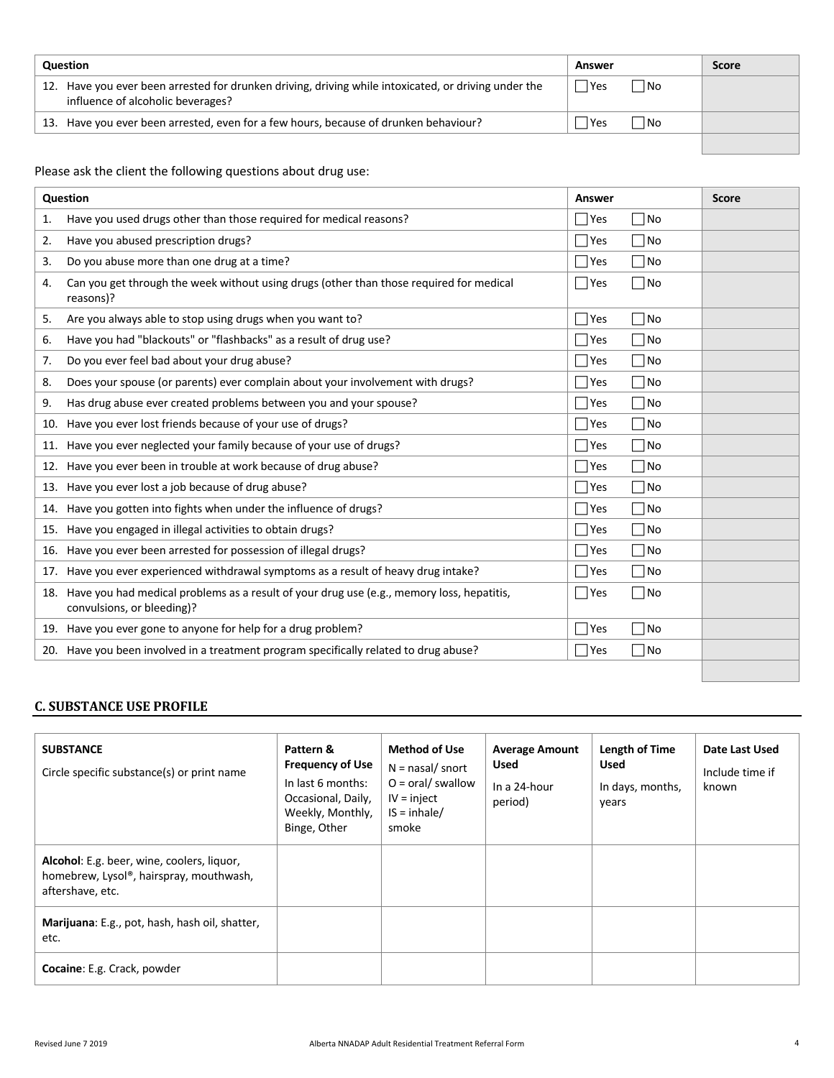| <b>Question</b> |                                                                                                                                           | Answer      |      | <b>Score</b> |
|-----------------|-------------------------------------------------------------------------------------------------------------------------------------------|-------------|------|--------------|
|                 | 12. Have you ever been arrested for drunken driving, driving while intoxicated, or driving under the<br>influence of alcoholic beverages? | <b>Pres</b> | l No |              |
|                 | 13. Have you ever been arrested, even for a few hours, because of drunken behaviour?                                                      | 'Yes        | l No |              |
|                 |                                                                                                                                           |             |      |              |

Please ask the client the following questions about drug use:

| Question                                                                                                                       | Answer                   | <b>Score</b> |
|--------------------------------------------------------------------------------------------------------------------------------|--------------------------|--------------|
| Have you used drugs other than those required for medical reasons?<br>1.                                                       | $\Box$ Yes<br>∃No        |              |
| Have you abused prescription drugs?<br>2.                                                                                      | $\Box$ Yes<br>∏No        |              |
| Do you abuse more than one drug at a time?<br>3.                                                                               | $\Box$ Yes<br>l No       |              |
| Can you get through the week without using drugs (other than those required for medical<br>4.<br>reasons)?                     | $\Box$ Yes<br>$\neg$ No  |              |
| Are you always able to stop using drugs when you want to?<br>5.                                                                | $\Box$ Yes<br>∃No        |              |
| Have you had "blackouts" or "flashbacks" as a result of drug use?<br>6.                                                        | $\Box$ Yes<br>1No        |              |
| Do you ever feel bad about your drug abuse?<br>7.                                                                              | $\Box$ Yes<br>7No        |              |
| Does your spouse (or parents) ever complain about your involvement with drugs?<br>8.                                           | $\Box$ Yes<br>$\n  0$    |              |
| Has drug abuse ever created problems between you and your spouse?<br>9.                                                        | $\Box$ Yes<br>∏No        |              |
| Have you ever lost friends because of your use of drugs?<br>10.                                                                | $\Box$ Yes<br>7No        |              |
| 11. Have you ever neglected your family because of your use of drugs?                                                          | $\Box$ Yes<br>∏No        |              |
| 12. Have you ever been in trouble at work because of drug abuse?                                                               | $\Box$ Yes<br>$\n  No\n$ |              |
| 13. Have you ever lost a job because of drug abuse?                                                                            | $\Box$ Yes<br>∏No        |              |
| 14. Have you gotten into fights when under the influence of drugs?                                                             | $\Box$ Yes<br>1No        |              |
| 15. Have you engaged in illegal activities to obtain drugs?                                                                    | $\Box$ Yes<br>∃No        |              |
| 16. Have you ever been arrested for possession of illegal drugs?                                                               | $\Box$ Yes<br>∃No        |              |
| 17. Have you ever experienced withdrawal symptoms as a result of heavy drug intake?                                            | $\Box$ Yes<br>∏No        |              |
| Have you had medical problems as a result of your drug use (e.g., memory loss, hepatitis,<br>18.<br>convulsions, or bleeding)? | $\Box$ Yes<br>$\n  0$    |              |
| 19. Have you ever gone to anyone for help for a drug problem?                                                                  | $\Box$ Yes<br>7No        |              |
| 20. Have you been involved in a treatment program specifically related to drug abuse?                                          | $\Box$ Yes<br>∏No        |              |
|                                                                                                                                |                          |              |

# **C. SUBSTANCE USE PROFILE**

| <b>SUBSTANCE</b><br>Circle specific substance(s) or print name                                            | Pattern &<br><b>Frequency of Use</b><br>In last 6 months:<br>Occasional, Daily,<br>Weekly, Monthly,<br>Binge, Other | <b>Method of Use</b><br>$N =$ nasal/snort<br>$O = \text{oral}/\text{swallow}$<br>$IV = inject$<br>$IS = inhale/$<br>smoke | <b>Average Amount</b><br><b>Used</b><br>In a 24-hour<br>period) | Length of Time<br><b>Used</b><br>In days, months,<br>years | Date Last Used<br>Include time if<br>known |
|-----------------------------------------------------------------------------------------------------------|---------------------------------------------------------------------------------------------------------------------|---------------------------------------------------------------------------------------------------------------------------|-----------------------------------------------------------------|------------------------------------------------------------|--------------------------------------------|
| Alcohol: E.g. beer, wine, coolers, liquor,<br>homebrew, Lysol®, hairspray, mouthwash,<br>aftershave, etc. |                                                                                                                     |                                                                                                                           |                                                                 |                                                            |                                            |
| Marijuana: E.g., pot, hash, hash oil, shatter,<br>etc.                                                    |                                                                                                                     |                                                                                                                           |                                                                 |                                                            |                                            |
| <b>Cocaine: E.g. Crack, powder</b>                                                                        |                                                                                                                     |                                                                                                                           |                                                                 |                                                            |                                            |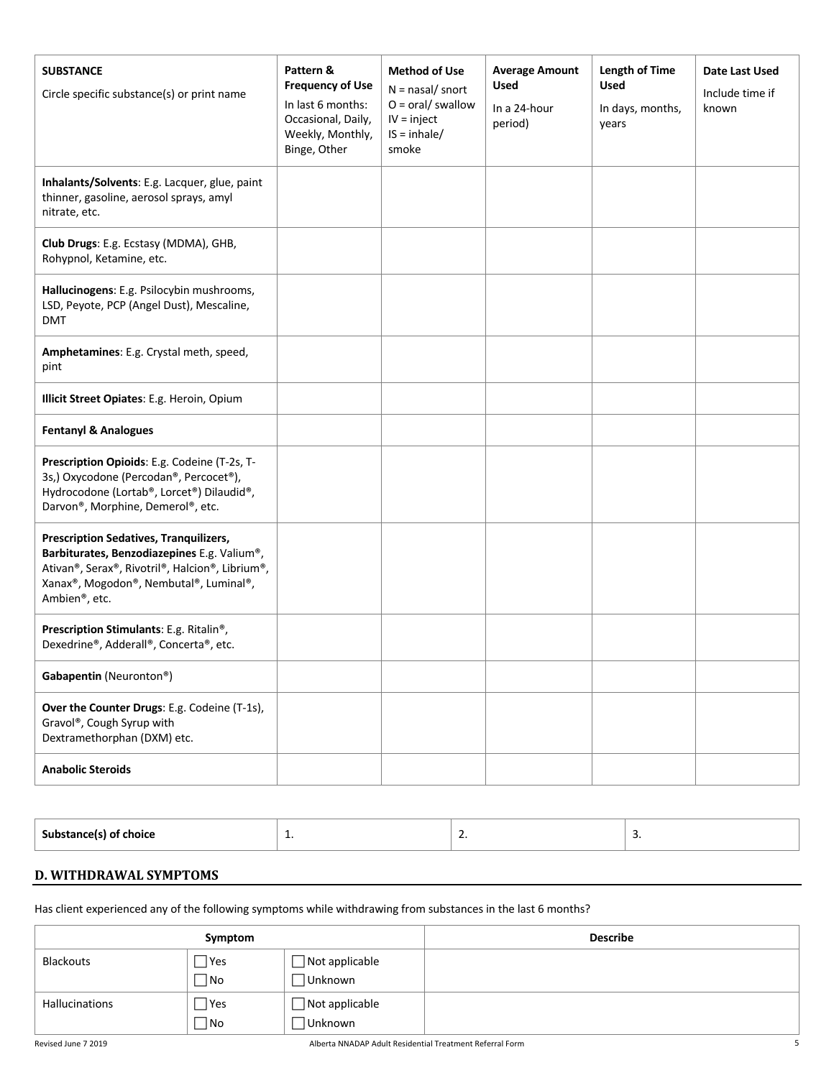| <b>SUBSTANCE</b><br>Circle specific substance(s) or print name                                                                                                                                             | Pattern &<br><b>Frequency of Use</b><br>In last 6 months:<br>Occasional, Daily,<br>Weekly, Monthly,<br>Binge, Other | <b>Method of Use</b><br>$N =$ nasal/snort<br>$O = \text{oral}/\text{swallow}$<br>$IV = inject$<br>$IS = inhale/$<br>smoke | <b>Average Amount</b><br><b>Used</b><br>In a 24-hour<br>period) | Length of Time<br><b>Used</b><br>In days, months,<br>years | Date Last Used<br>Include time if<br>known |
|------------------------------------------------------------------------------------------------------------------------------------------------------------------------------------------------------------|---------------------------------------------------------------------------------------------------------------------|---------------------------------------------------------------------------------------------------------------------------|-----------------------------------------------------------------|------------------------------------------------------------|--------------------------------------------|
| Inhalants/Solvents: E.g. Lacquer, glue, paint<br>thinner, gasoline, aerosol sprays, amyl<br>nitrate, etc.                                                                                                  |                                                                                                                     |                                                                                                                           |                                                                 |                                                            |                                            |
| Club Drugs: E.g. Ecstasy (MDMA), GHB,<br>Rohypnol, Ketamine, etc.                                                                                                                                          |                                                                                                                     |                                                                                                                           |                                                                 |                                                            |                                            |
| Hallucinogens: E.g. Psilocybin mushrooms,<br>LSD, Peyote, PCP (Angel Dust), Mescaline,<br><b>DMT</b>                                                                                                       |                                                                                                                     |                                                                                                                           |                                                                 |                                                            |                                            |
| Amphetamines: E.g. Crystal meth, speed,<br>pint                                                                                                                                                            |                                                                                                                     |                                                                                                                           |                                                                 |                                                            |                                            |
| Illicit Street Opiates: E.g. Heroin, Opium                                                                                                                                                                 |                                                                                                                     |                                                                                                                           |                                                                 |                                                            |                                            |
| <b>Fentanyl &amp; Analogues</b>                                                                                                                                                                            |                                                                                                                     |                                                                                                                           |                                                                 |                                                            |                                            |
| Prescription Opioids: E.g. Codeine (T-2s, T-<br>3s,) Oxycodone (Percodan®, Percocet®),<br>Hydrocodone (Lortab®, Lorcet®) Dilaudid®,<br>Darvon®, Morphine, Demerol®, etc.                                   |                                                                                                                     |                                                                                                                           |                                                                 |                                                            |                                            |
| <b>Prescription Sedatives, Tranquilizers,</b><br>Barbiturates, Benzodiazepines E.g. Valium®,<br>Ativan®, Serax®, Rivotril®, Halcion®, Librium®,<br>Xanax®, Mogodon®, Nembutal®, Luminal®,<br>Ambien®, etc. |                                                                                                                     |                                                                                                                           |                                                                 |                                                            |                                            |
| Prescription Stimulants: E.g. Ritalin <sup>®</sup> ,<br>Dexedrine®, Adderall®, Concerta®, etc.                                                                                                             |                                                                                                                     |                                                                                                                           |                                                                 |                                                            |                                            |
| Gabapentin (Neuronton®)                                                                                                                                                                                    |                                                                                                                     |                                                                                                                           |                                                                 |                                                            |                                            |
| Over the Counter Drugs: E.g. Codeine (T-1s),<br>Gravol®, Cough Syrup with<br>Dextramethorphan (DXM) etc.                                                                                                   |                                                                                                                     |                                                                                                                           |                                                                 |                                                            |                                            |
| <b>Anabolic Steroids</b>                                                                                                                                                                                   |                                                                                                                     |                                                                                                                           |                                                                 |                                                            |                                            |

| Substance(s) of choice | <b>.</b> | -- | <b>.</b> |
|------------------------|----------|----|----------|
|                        |          |    |          |
|                        |          |    |          |

# **D. WITHDRAWAL SYMPTOMS**

Has client experienced any of the following symptoms while withdrawing from substances in the last 6 months?

|                       | Symptom                 |                                   | <b>Describe</b> |
|-----------------------|-------------------------|-----------------------------------|-----------------|
| <b>Blackouts</b>      | $\Box$ Yes<br>$\Box$ No | $\Box$ Not applicable<br>∃Unknown |                 |
|                       |                         |                                   |                 |
| <b>Hallucinations</b> | $\Box$ Yes              | $\Box$ Not applicable             |                 |
|                       | $\Box$ No               | Unknown                           |                 |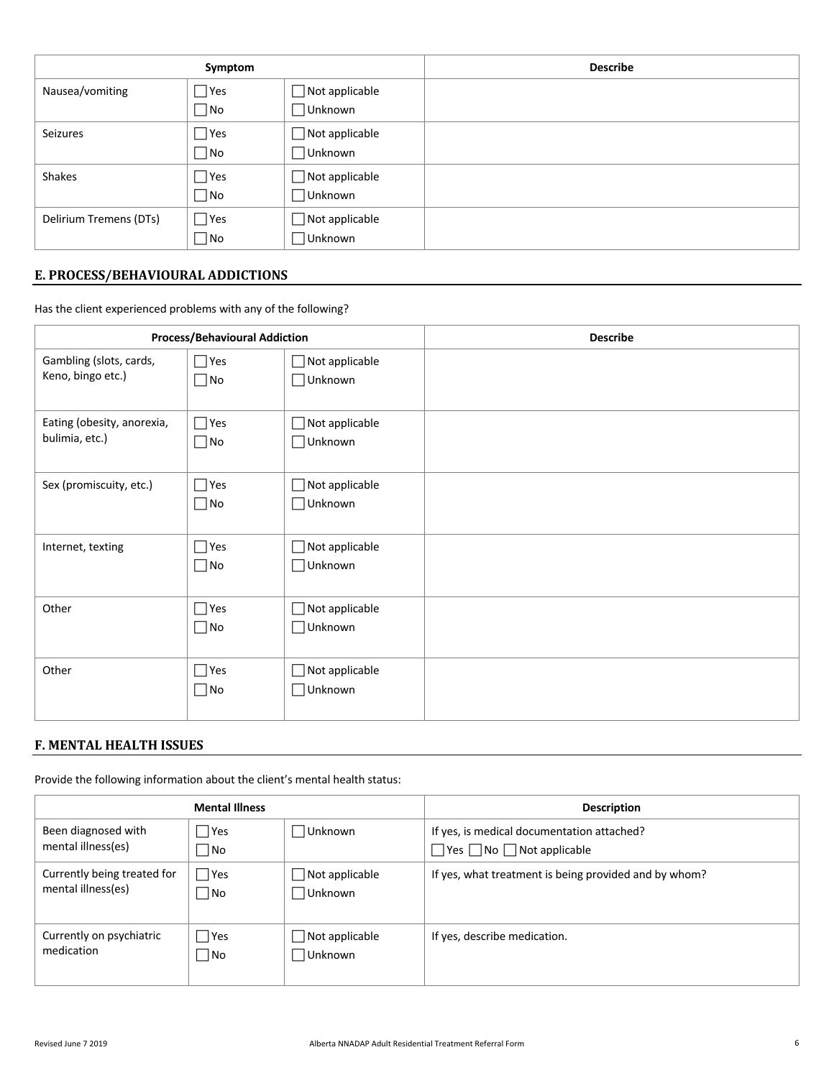| Symptom                |               |                          | <b>Describe</b> |
|------------------------|---------------|--------------------------|-----------------|
| Nausea/vomiting        | $\neg$ Yes    | Not applicable           |                 |
|                        | $\Box$ No     | ∣Unknown                 |                 |
| Seizures               | $\bigcap$ Yes | $\exists$ Not applicable |                 |
|                        | $\Box$ No     | ∣Unknown                 |                 |
| Shakes                 | $\bigcap$ Yes | $\exists$ Not applicable |                 |
|                        | $\Box$ No     | ∃Unknown                 |                 |
| Delirium Tremens (DTs) | $\bigcap$ Yes | $\exists$ Not applicable |                 |
|                        | $\Box$ No     | ∃Unknown                 |                 |

# **E. PROCESS/BEHAVIOURAL ADDICTIONS**

Has the client experienced problems with any of the following?

| <b>Process/Behavioural Addiction</b>         |                            |                                         | <b>Describe</b> |
|----------------------------------------------|----------------------------|-----------------------------------------|-----------------|
| Gambling (slots, cards,<br>Keno, bingo etc.) | $\Box$ Yes<br>$\square$ No | $\Box$ Not applicable<br>$\Box$ Unknown |                 |
| Eating (obesity, anorexia,<br>bulimia, etc.) | $\Box$ Yes<br>$\Box$ No    | $\Box$ Not applicable<br>$\Box$ Unknown |                 |
| Sex (promiscuity, etc.)                      | $\Box$ Yes<br>$\Box$ No    | $\Box$ Not applicable<br>$\Box$ Unknown |                 |
| Internet, texting                            | $\Box$ Yes<br>$\square$ No | $\Box$ Not applicable<br>$\Box$ Unknown |                 |
| Other                                        | $\Box$ Yes<br>$\square$ No | $\Box$ Not applicable<br>$\Box$ Unknown |                 |
| Other                                        | $\Box$ Yes<br>$\square$ No | $\Box$ Not applicable<br>$\Box$ Unknown |                 |

# **F. MENTAL HEALTH ISSUES**

Provide the following information about the client's mental health status:

|                             | <b>Mental Illness</b> |                | <b>Description</b>                                    |
|-----------------------------|-----------------------|----------------|-------------------------------------------------------|
| Been diagnosed with         | <b>P</b> Yes          | Unknown        | If yes, is medical documentation attached?            |
| mental illness(es)          | $\neg$ No             |                | $\Box$ Yes $\Box$ No $\Box$ Not applicable            |
| Currently being treated for | $\Box$ Yes            | Not applicable | If yes, what treatment is being provided and by whom? |
| mental illness(es)          | $\blacksquare$ No     | Unknown        |                                                       |
| Currently on psychiatric    | <b>P</b> Yes          | Not applicable | If yes, describe medication.                          |
| medication                  | No.                   | Unknown        |                                                       |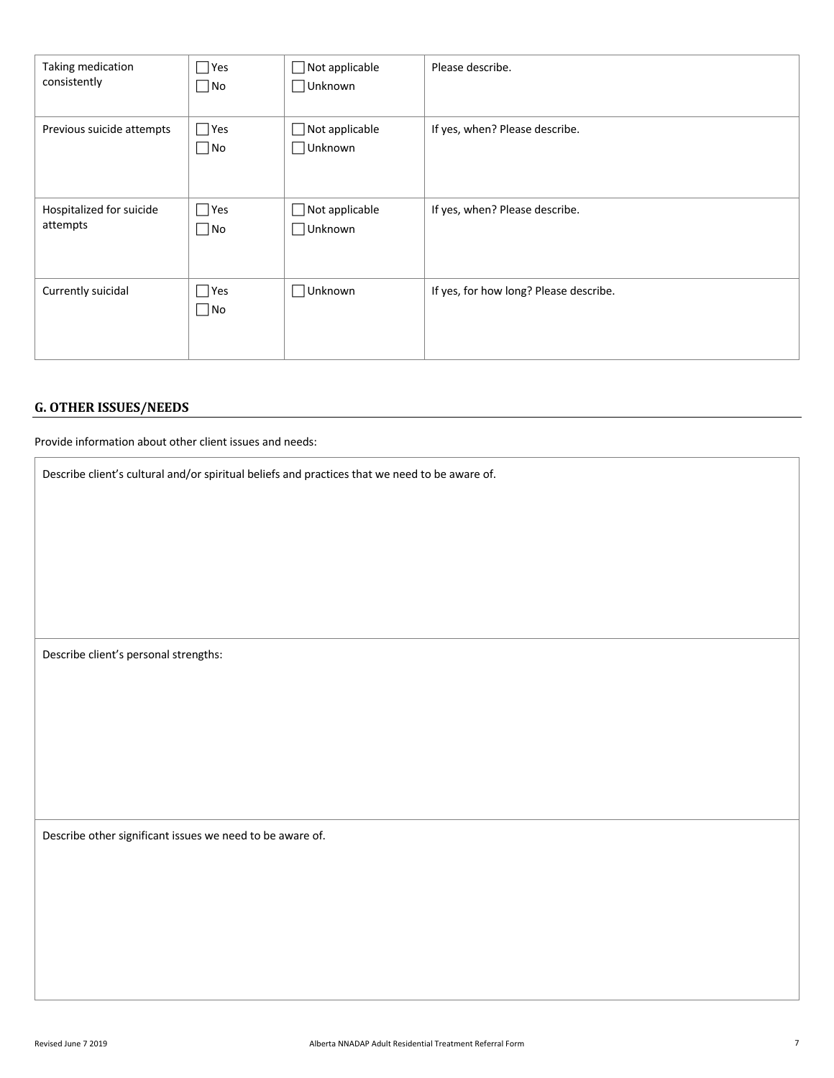| Taking medication         | $\Box$ Yes              | Not applicable              | Please describe.                       |
|---------------------------|-------------------------|-----------------------------|----------------------------------------|
| consistently              | $\Box$ No               | $\Box$ Unknown              |                                        |
| Previous suicide attempts | $\Box$ Yes<br>$\Box$ No | Not applicable<br>□ Unknown | If yes, when? Please describe.         |
| Hospitalized for suicide  | $\Box$ Yes              | $\exists$ Not applicable    | If yes, when? Please describe.         |
| attempts                  | $\Box$ No               | Unknown                     |                                        |
| Currently suicidal        | $\Box$ Yes<br>$\Box$ No | □Unknown                    | If yes, for how long? Please describe. |

# **G. OTHER ISSUES/NEEDS**

Provide information about other client issues and needs:

Describe client's cultural and/or spiritual beliefs and practices that we need to be aware of.

Describe client's personal strengths:

Describe other significant issues we need to be aware of.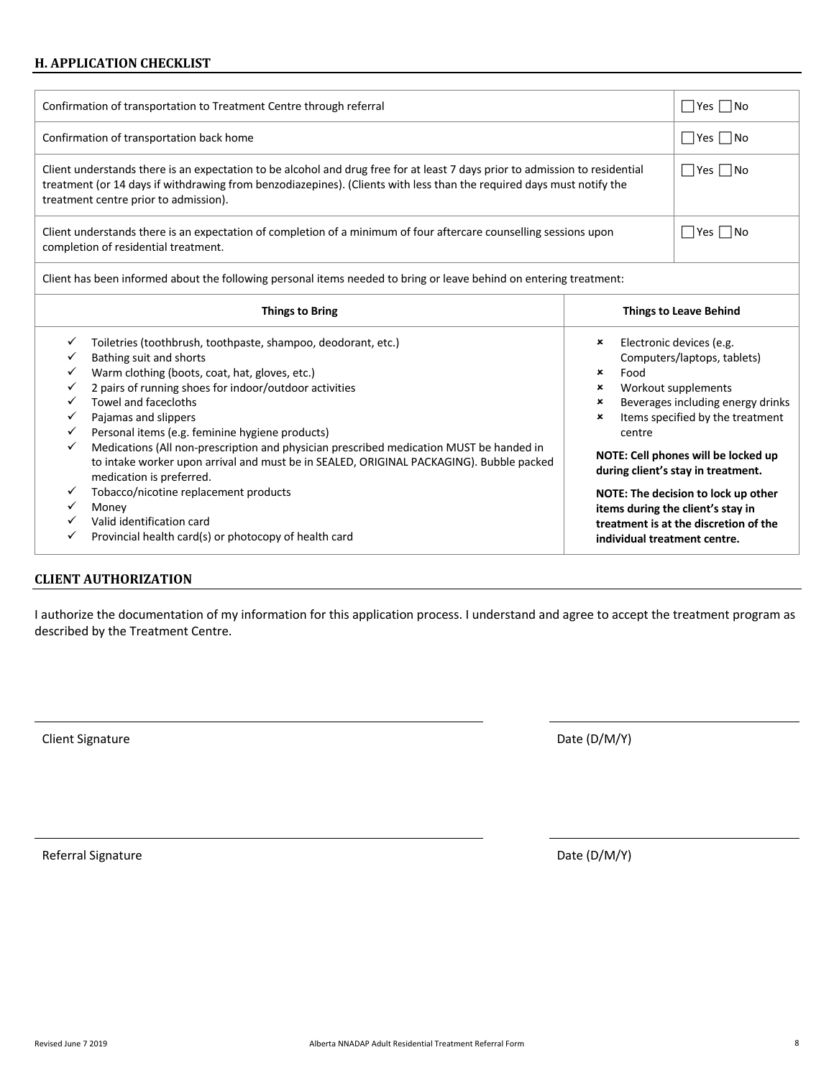#### **H. APPLICATION CHECKLIST**

| Confirmation of transportation to Treatment Centre through referral                                                                                                                                                                                                                                                    |  |  |  |  |
|------------------------------------------------------------------------------------------------------------------------------------------------------------------------------------------------------------------------------------------------------------------------------------------------------------------------|--|--|--|--|
| Confirmation of transportation back home                                                                                                                                                                                                                                                                               |  |  |  |  |
| $\Box$ Yes $\Box$ No<br>Client understands there is an expectation to be alcohol and drug free for at least 7 days prior to admission to residential<br>treatment (or 14 days if withdrawing from benzodiazepines). (Clients with less than the required days must notify the<br>treatment centre prior to admission). |  |  |  |  |
| Client understands there is an expectation of completion of a minimum of four aftercare counselling sessions upon<br>completion of residential treatment.                                                                                                                                                              |  |  |  |  |
| Client has been informed about the following personal items needed to bring or leave behind on entering treatment:                                                                                                                                                                                                     |  |  |  |  |
| The company of the Property of the Company of the Company of the Company of the Company of the Company of the Company of the Company of the Company of the Company of the Company of the Company of the Company of the Company<br>アレシュー・エー サー・エー・ロート しょうし                                                              |  |  |  |  |

|   | <b>Things to Bring</b>                                                                                                                                                                                                                                                                                  | <b>Things to Leave Behind</b>                                                                                                                                                                                |
|---|---------------------------------------------------------------------------------------------------------------------------------------------------------------------------------------------------------------------------------------------------------------------------------------------------------|--------------------------------------------------------------------------------------------------------------------------------------------------------------------------------------------------------------|
|   | Toiletries (toothbrush, toothpaste, shampoo, deodorant, etc.)<br>Bathing suit and shorts<br>Warm clothing (boots, coat, hat, gloves, etc.)<br>2 pairs of running shoes for indoor/outdoor activities<br>Towel and facecloths<br>Pajamas and slippers<br>Personal items (e.g. feminine hygiene products) | Electronic devices (e.g.<br>×<br>Computers/laptops, tablets)<br>×<br>Food<br>Workout supplements<br>×<br>Beverages including energy drinks<br>×<br>Items specified by the treatment<br>$\mathbf x$<br>centre |
| ✓ | Medications (All non-prescription and physician prescribed medication MUST be handed in<br>to intake worker upon arrival and must be in SEALED, ORIGINAL PACKAGING). Bubble packed<br>medication is preferred.<br>Tobacco/nicotine replacement products                                                 | NOTE: Cell phones will be locked up<br>during client's stay in treatment.<br>NOTE: The decision to lock up other                                                                                             |
| v | Money<br>Valid identification card<br>Provincial health card(s) or photocopy of health card                                                                                                                                                                                                             | items during the client's stay in<br>treatment is at the discretion of the<br>individual treatment centre.                                                                                                   |

#### **CLIENT AUTHORIZATION**

I authorize the documentation of my information for this application process. I understand and agree to accept the treatment program as described by the Treatment Centre.

Client Signature Date (D/M/Y)

Referral Signature Date (D/M/Y)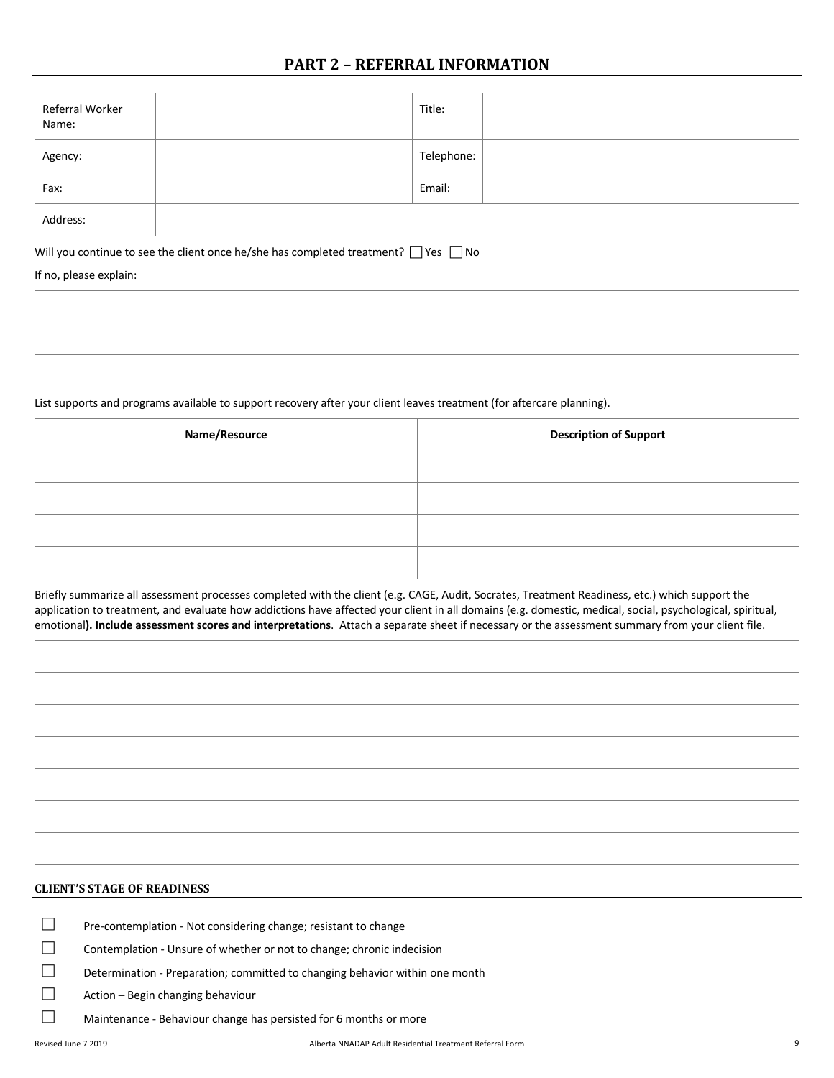# **PART 2 - REFERRAL INFORMATION**

| Referral Worker<br>Name: | Title:     |  |
|--------------------------|------------|--|
| Agency:                  | Telephone: |  |
| Fax:                     | Email:     |  |
| Address:                 |            |  |

Will you continue to see the client once he/she has completed treatment?  $\Box$  Yes  $\Box$  No

If no, please explain:

List supports and programs available to support recovery after your client leaves treatment (for aftercare planning).

| Name/Resource | <b>Description of Support</b> |
|---------------|-------------------------------|
|               |                               |
|               |                               |
|               |                               |
|               |                               |

Briefly summarize all assessment processes completed with the client (e.g. CAGE, Audit, Socrates, Treatment Readiness, etc.) which support the application to treatment, and evaluate how addictions have affected your client in all domains (e.g. domestic, medical, social, psychological, spiritual, emotional**). Include assessment scores and interpretations**. Attach a separate sheet if necessary or the assessment summary from your client file.

#### **CLIENT'S STAGE OF READINESS**

 $\square$  Pre-contemplation - Not considering change; resistant to change

 $\Box$  Contemplation - Unsure of whether or not to change; chronic indecision

 $\square$  Determination - Preparation; committed to changing behavior within one month

 $\Box$  Action – Begin changing behaviour

 $\Box$  Maintenance - Behaviour change has persisted for 6 months or more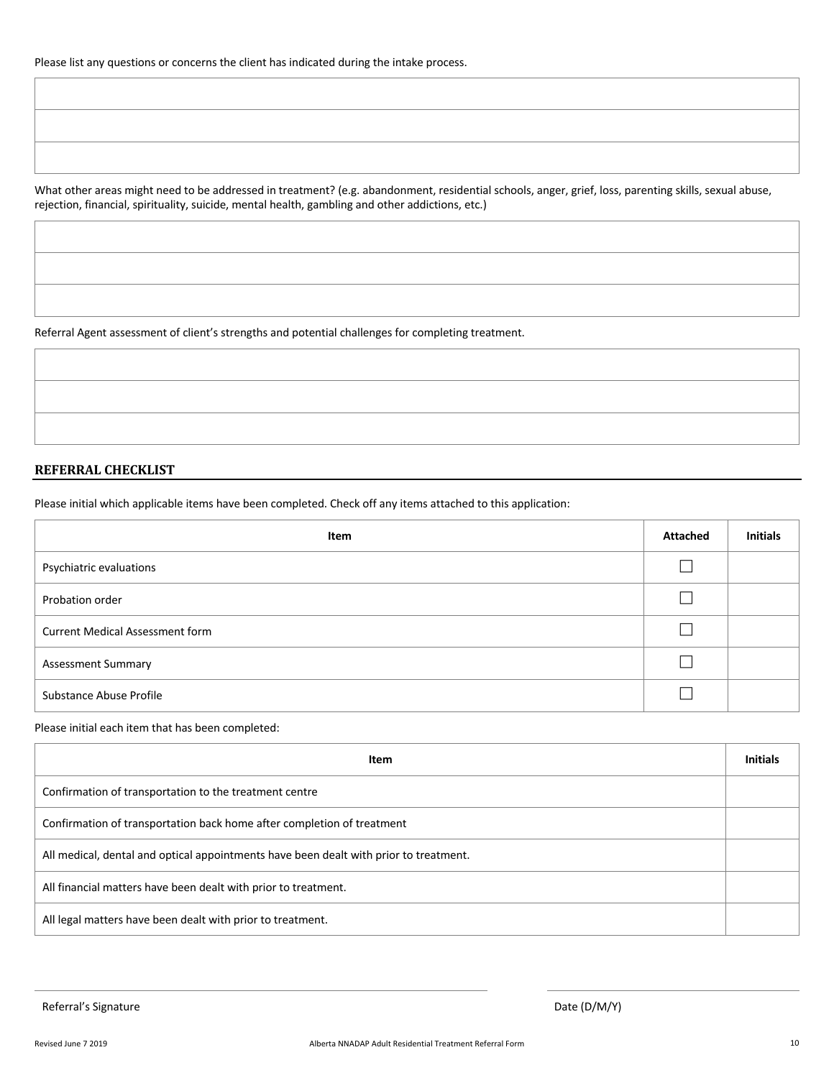What other areas might need to be addressed in treatment? (e.g. abandonment, residential schools, anger, grief, loss, parenting skills, sexual abuse, rejection, financial, spirituality, suicide, mental health, gambling and other addictions, etc.)

Referral Agent assessment of client's strengths and potential challenges for completing treatment.

#### **REFERRAL CHECKLIST**

Please initial which applicable items have been completed. Check off any items attached to this application:

| Item                                   | <b>Attached</b> | <b>Initials</b> |
|----------------------------------------|-----------------|-----------------|
| Psychiatric evaluations                |                 |                 |
| Probation order                        |                 |                 |
| <b>Current Medical Assessment form</b> |                 |                 |
| <b>Assessment Summary</b>              |                 |                 |
| Substance Abuse Profile                |                 |                 |

Please initial each item that has been completed:

| Item                                                                                  | <b>Initials</b> |
|---------------------------------------------------------------------------------------|-----------------|
| Confirmation of transportation to the treatment centre                                |                 |
| Confirmation of transportation back home after completion of treatment                |                 |
| All medical, dental and optical appointments have been dealt with prior to treatment. |                 |
| All financial matters have been dealt with prior to treatment.                        |                 |
| All legal matters have been dealt with prior to treatment.                            |                 |

Referral's Signature Date (D/M/Y) and Date (D/M/Y) and Date (D/M/Y) and Date (D/M/Y) and Date (D/M/Y) and Date (D/M/Y)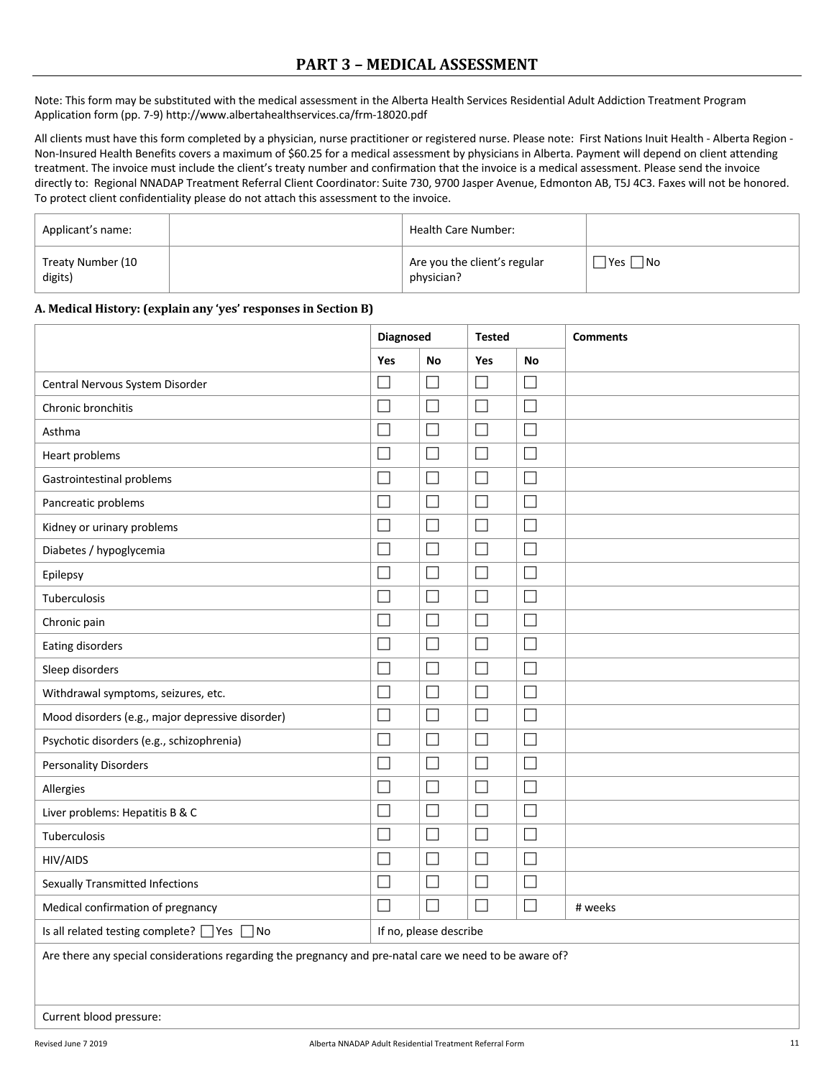Note: This form may be substituted with the medical assessment in the Alberta Health Services Residential Adult Addiction Treatment Program Application form (pp. 7-9) http://www.albertahealthservices.ca/frm-18020.pdf

All clients must have this form completed by a physician, nurse practitioner or registered nurse. Please note: First Nations Inuit Health - Alberta Region - Non-Insured Health Benefits covers a maximum of \$60.25 for a medical assessment by physicians in Alberta. Payment will depend on client attending treatment. The invoice must include the client's treaty number and confirmation that the invoice is a medical assessment. Please send the invoice directly to: Regional NNADAP Treatment Referral Client Coordinator: Suite 730, 9700 Jasper Avenue, Edmonton AB, T5J 4C3. Faxes will not be honored. To protect client confidentiality please do not attach this assessment to the invoice.

| Applicant's name:            | Health Care Number:                        |                      |
|------------------------------|--------------------------------------------|----------------------|
| Treaty Number (10<br>digits) | Are you the client's regular<br>physician? | $\Box$ Yes $\Box$ No |

#### **A. Medical History: (explain any 'yes' responses in Section B)**

|                                                                                                         | Diagnosed                   |                          | <b>Tested</b>               |           | <b>Comments</b> |
|---------------------------------------------------------------------------------------------------------|-----------------------------|--------------------------|-----------------------------|-----------|-----------------|
|                                                                                                         | Yes                         | <b>No</b>                | Yes                         | <b>No</b> |                 |
| Central Nervous System Disorder                                                                         | $\Box$                      | $\Box$                   | $\Box$                      | $\Box$    |                 |
| Chronic bronchitis                                                                                      | H                           | $\mathbf{L}$             |                             | $\Box$    |                 |
| Asthma                                                                                                  | $\Box$                      | $\overline{\phantom{a}}$ | $\overline{\phantom{a}}$    | $\Box$    |                 |
| Heart problems                                                                                          | $\Box$                      | $\Box$                   | $\mathbb{R}^n$              | $\Box$    |                 |
| Gastrointestinal problems                                                                               | H                           | $\Box$                   | $\overline{\phantom{0}}$    | $\Box$    |                 |
| Pancreatic problems                                                                                     | $\Box$                      | $\Box$                   | $\Box$                      | $\Box$    |                 |
| Kidney or urinary problems                                                                              | $\overline{\phantom{0}}$    | $\Box$                   | $\overline{\phantom{0}}$    | $\Box$    |                 |
| Diabetes / hypoglycemia                                                                                 | $\Box$                      | $\overline{\phantom{a}}$ |                             | $\Box$    |                 |
| Epilepsy                                                                                                | $\Box$                      | $\overline{\phantom{a}}$ | П                           | $\Box$    |                 |
| Tuberculosis                                                                                            | П                           | $\Box$                   | $\Box$                      | $\Box$    |                 |
| Chronic pain                                                                                            | $\Box$                      | $\overline{\phantom{a}}$ | $\Box$                      | $\Box$    |                 |
| Eating disorders                                                                                        | $\mathcal{L}_{\mathcal{A}}$ | $\Box$                   | $\Box$                      | $\Box$    |                 |
| Sleep disorders                                                                                         | $\mathcal{L}_{\mathcal{A}}$ | $\Box$                   | $\mathcal{L}_{\mathcal{A}}$ | $\Box$    |                 |
| Withdrawal symptoms, seizures, etc.                                                                     | $\Box$                      | $\Box$                   | $\Box$                      | $\Box$    |                 |
| Mood disorders (e.g., major depressive disorder)                                                        | $\mathcal{L}_{\mathcal{A}}$ | $\Box$                   |                             | $\Box$    |                 |
| Psychotic disorders (e.g., schizophrenia)                                                               | $\mathcal{L}_{\mathcal{A}}$ | $\Box$                   | $\mathcal{L}_{\mathcal{A}}$ | $\Box$    |                 |
| <b>Personality Disorders</b>                                                                            | $\Box$                      | $\overline{\phantom{a}}$ | $\Box$                      | $\Box$    |                 |
| Allergies                                                                                               | $\Box$                      | $\Box$                   | $\mathcal{L}_{\mathcal{A}}$ | $\Box$    |                 |
| Liver problems: Hepatitis B & C                                                                         | $\Box$                      | $\Box$                   | $\overline{\phantom{a}}$    | $\Box$    |                 |
| Tuberculosis                                                                                            | $\Box$                      | $\Box$                   | $\Box$                      | $\Box$    |                 |
| HIV/AIDS                                                                                                | $\Box$                      | $\overline{\phantom{a}}$ | $\Box$                      | $\Box$    |                 |
| Sexually Transmitted Infections                                                                         | $\Box$                      | $\Box$                   | $\Box$                      | $\Box$    |                 |
| Medical confirmation of pregnancy                                                                       | $\Box$                      | $\Box$                   | $\Box$                      | $\Box$    | # weeks         |
| Is all related testing complete? △ Yes △ No                                                             |                             | If no, please describe   |                             |           |                 |
| Are there any special considerations regarding the pregnancy and pre-natal care we need to be aware of? |                             |                          |                             |           |                 |
| Current blood pressure:                                                                                 |                             |                          |                             |           |                 |